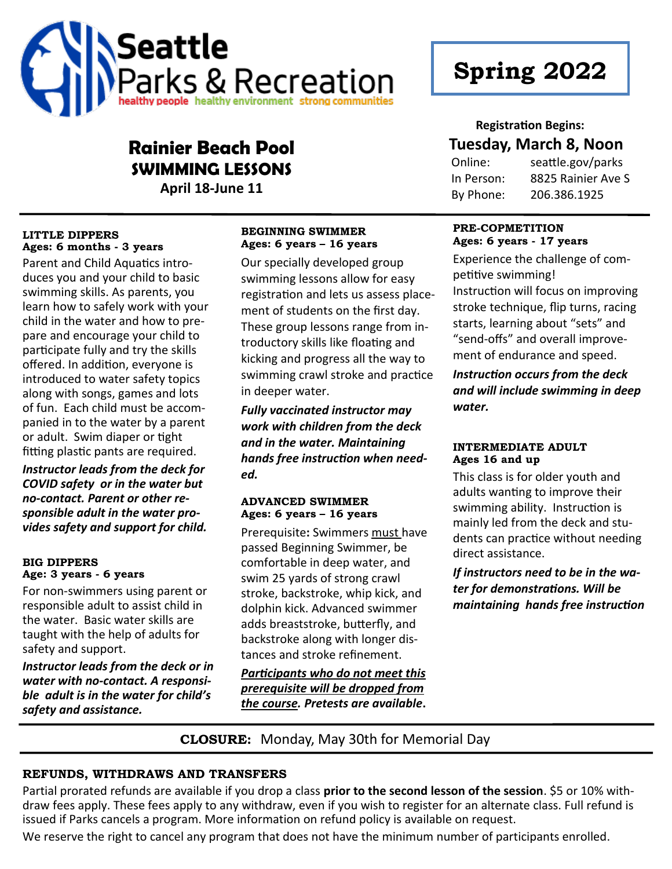

# **Spring 2022**

#### **Registration Begins:**

# **Tuesday, March 8, Noon**

Online: seattle.gov/parks In Person: 8825 Rainier Ave S By Phone: 206.386.1925

#### **PRE-COPMETITION Ages: 6 years - 17 years**

Experience the challenge of competitive swimming! Instruction will focus on improving stroke technique, flip turns, racing starts, learning about "sets" and "send-offs" and overall improvement of endurance and speed.

*Instruction occurs from the deck and will include swimming in deep water.*

#### **INTERMEDIATE ADULT Ages 16 and up**

This class is for older youth and adults wanting to improve their swimming ability. Instruction is mainly led from the deck and students can practice without needing direct assistance.

*If instructors need to be in the water for demonstrations. Will be maintaining hands free instruction* 

# **Rainier Beach Pool SWIMMING LESSONS**

**April 18-June 11**

#### **LITTLE DIPPERS Ages: 6 months - 3 years**

Parent and Child Aquatics introduces you and your child to basic swimming skills. As parents, you learn how to safely work with your child in the water and how to prepare and encourage your child to participate fully and try the skills offered. In addition, everyone is introduced to water safety topics along with songs, games and lots of fun. Each child must be accompanied in to the water by a parent or adult. Swim diaper or tight fitting plastic pants are required.

*Instructor leads from the deck for COVID safety or in the water but no-contact. Parent or other responsible adult in the water provides safety and support for child.*

#### **BIG DIPPERS Age: 3 years - 6 years**

For non-swimmers using parent or responsible adult to assist child in the water. Basic water skills are taught with the help of adults for safety and support.

*Instructor leads from the deck or in water with no-contact. A responsible adult is in the water for child's safety and assistance.*

#### **BEGINNING SWIMMER Ages: 6 years – 16 years**

Our specially developed group swimming lessons allow for easy registration and lets us assess placement of students on the first day. These group lessons range from introductory skills like floating and kicking and progress all the way to swimming crawl stroke and practice in deeper water.

*Fully vaccinated instructor may work with children from the deck and in the water. Maintaining hands free instruction when needed.*

#### **ADVANCED SWIMMER Ages: 6 years – 16 years**

Prerequisite**:** Swimmers must have passed Beginning Swimmer, be comfortable in deep water, and swim 25 yards of strong crawl stroke, backstroke, whip kick, and dolphin kick. Advanced swimmer adds breaststroke, butterfly, and backstroke along with longer distances and stroke refinement.

*Participants who do not meet this prerequisite will be dropped from the course. Pretests are available***.** 

## **CLOSURE:** Monday, May 30th for Memorial Day

#### **REFUNDS, WITHDRAWS AND TRANSFERS**

Partial prorated refunds are available if you drop a class **prior to the second lesson of the session**. \$5 or 10% withdraw fees apply. These fees apply to any withdraw, even if you wish to register for an alternate class. Full refund is issued if Parks cancels a program. More information on refund policy is available on request.

We reserve the right to cancel any program that does not have the minimum number of participants enrolled.